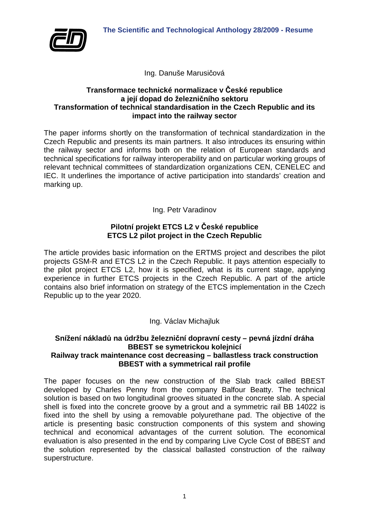

Ing. Danuše Marusičová

### **Transformace technické normalizace v České republice a její dopad do železničního sektoru Transformation of technical standardisation in the Czech Republic and its impact into the railway sector**

The paper informs shortly on the transformation of technical standardization in the Czech Republic and presents its main partners. It also introduces its ensuring within the railway sector and informs both on the relation of European standards and technical specifications for railway interoperability and on particular working groups of relevant technical committees of standardization organizations CEN, CENELEC and IEC. It underlines the importance of active participation into standards' creation and marking up.

# Ing. Petr Varadinov

## **Pilotní projekt ETCS L2 v České republice ETCS L2 pilot project in the Czech Republic**

The article provides basic information on the ERTMS project and describes the pilot projects GSM-R and ETCS L2 in the Czech Republic. It pays attention especially to the pilot project ETCS L2, how it is specified, what is its current stage, applying experience in further ETCS projects in the Czech Republic. A part of the article contains also brief information on strategy of the ETCS implementation in the Czech Republic up to the year 2020.

Ing. Václav Michajluk

### **Snížení nákladů na údržbu železniční dopravní cesty – pevná jízdní dráha BBEST se symetrickou kolejnicí Railway track maintenance cost decreasing – ballastless track construction BBEST with a symmetrical rail profile**

The paper focuses on the new construction of the Slab track called BBEST developed by Charles Penny from the company Balfour Beatty. The technical solution is based on two longitudinal grooves situated in the concrete slab. A special shell is fixed into the concrete groove by a grout and a symmetric rail BB 14022 is fixed into the shell by using a removable polyurethane pad. The objective of the article is presenting basic construction components of this system and showing technical and economical advantages of the current solution. The economical evaluation is also presented in the end by comparing Live Cycle Cost of BBEST and the solution represented by the classical ballasted construction of the railway superstructure.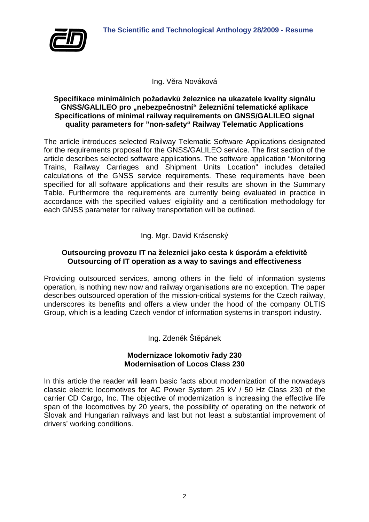

## Ing. Věra Nováková

### **Specifikace minimálních požadavků železnice na ukazatele kvality signálu GNSS/GALILEO pro "nebezpečnostní" železniční telematické aplikace Specifications of minimal railway requirements on GNSS/GALILEO signal quality parameters for "non-safety" Railway Telematic Applications**

The article introduces selected Railway Telematic Software Applications designated for the requirements proposal for the GNSS/GALILEO service. The first section of the article describes selected software applications. The software application "Monitoring Trains, Railway Carriages and Shipment Units Location" includes detailed calculations of the GNSS service requirements. These requirements have been specified for all software applications and their results are shown in the Summary Table. Furthermore the requirements are currently being evaluated in practice in accordance with the specified values' eligibility and a certification methodology for each GNSS parameter for railway transportation will be outlined.

Ing. Mgr. David Krásenský

# **Outsourcing provozu IT na železnici jako cesta k úsporám a efektivitě Outsourcing of IT operation as a way to savings and effectiveness**

Providing outsourced services, among others in the field of information systems operation, is nothing new now and railway organisations are no exception. The paper describes outsourced operation of the mission-critical systems for the Czech railway, underscores its benefits and offers a view under the hood of the company OLTIS Group, which is a leading Czech vendor of information systems in transport industry.

Ing. Zdeněk Štěpánek

# **Modernizace lokomotiv řady 230 Modernisation of Locos Class 230**

In this article the reader will learn basic facts about modernization of the nowadays classic electric locomotives for AC Power System 25 kV / 50 Hz Class 230 of the carrier CD Cargo, Inc. The objective of modernization is increasing the effective life span of the locomotives by 20 years, the possibility of operating on the network of Slovak and Hungarian railways and last but not least a substantial improvement of drivers' working conditions.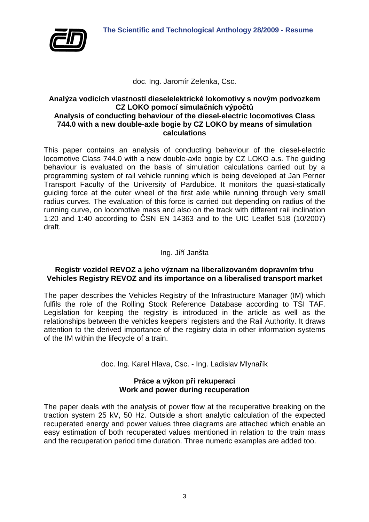

doc. Ing. Jaromír Zelenka, Csc.

### **Analýza vodicích vlastností dieselelektrické lokomotivy s novým podvozkem CZ LOKO pomocí simulačních výpočtů Analysis of conducting behaviour of the diesel-electric locomotives Class 744.0 with a new double-axle bogie by CZ LOKO by means of simulation calculations**

This paper contains an analysis of conducting behaviour of the diesel-electric locomotive Class 744.0 with a new double-axle bogie by CZ LOKO a.s. The guiding behaviour is evaluated on the basis of simulation calculations carried out by a programming system of rail vehicle running which is being developed at Jan Perner Transport Faculty of the University of Pardubice. It monitors the quasi-statically guiding force at the outer wheel of the first axle while running through very small radius curves. The evaluation of this force is carried out depending on radius of the running curve, on locomotive mass and also on the track with different rail inclination 1:20 and 1:40 according to ČSN EN 14363 and to the UIC Leaflet 518 (10/2007) draft.

Ing. Jiří Janšta

### **Registr vozidel REVOZ a jeho význam na liberalizovaném dopravním trhu Vehicles Registry REVOZ and its importance on a liberalised transport market**

The paper describes the Vehicles Registry of the Infrastructure Manager (IM) which fulfils the role of the Rolling Stock Reference Database according to TSI TAF. Legislation for keeping the registry is introduced in the article as well as the relationships between the vehicles keepers' registers and the Rail Authority. It draws attention to the derived importance of the registry data in other information systems of the IM within the lifecycle of a train.

doc. Ing. Karel Hlava, Csc. - Ing. Ladislav Mlynařík

# **Práce a výkon při rekuperaci Work and power during recuperation**

The paper deals with the analysis of power flow at the recuperative breaking on the traction system 25 kV, 50 Hz. Outside a short analytic calculation of the expected recuperated energy and power values three diagrams are attached which enable an easy estimation of both recuperated values mentioned in relation to the train mass and the recuperation period time duration. Three numeric examples are added too.